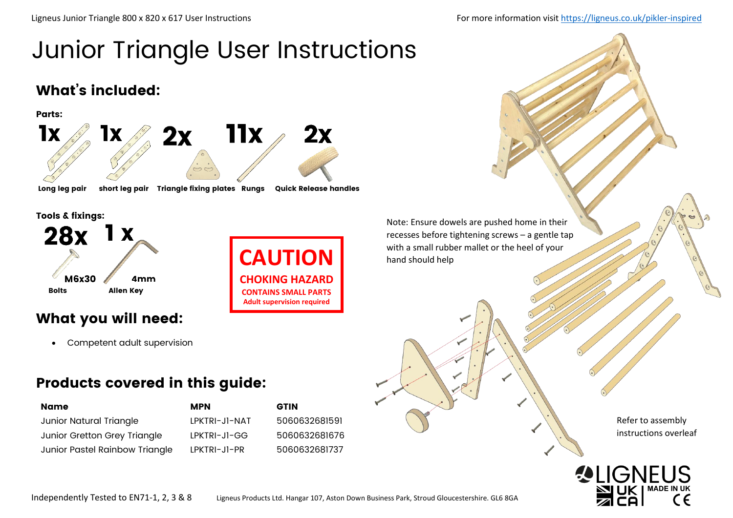# Junior Triangle User Instructions

### What's included:



Tools & fixings:



### What you will need:

• Competent adult supervision

### Products covered in this guide:

| Name                           | <b>MPN</b>    | <b>GTIN</b> |
|--------------------------------|---------------|-------------|
| Junior Natural Triangle        | LPKTRI-JI-NAT | 5060        |
| Junior Gretton Grey Triangle   | LPKTRI-JI-GG  | 5060        |
| Junior Pastel Rainbow Triangle | LPKTRI-JI-PR  | 5060        |

**CHOKING HAZARD CONTAINS SMALL PARTS Adult supervision required**

Note: Ensure dowels are pushed home in their recesses before tightening screws – a gentle tap **CAUTION** with a small rubber mallet or the heel of your hand should help



Refer to assembly instructions overleaf